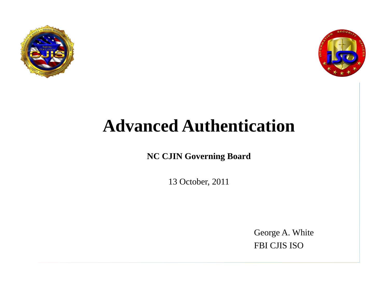



#### **NC CJIN Governing Board**

13 October, 2011

George A. White FBI CJIS ISO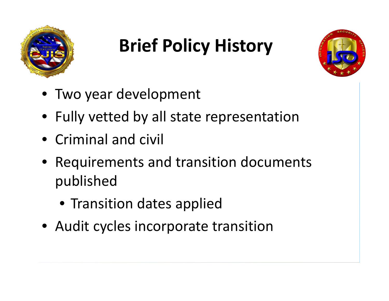

# **Brief Policy History**



- Two year development
- Fully vetted by all state representation
- Criminal and civil
- Requirements and transition documents published
	- Transition dates applied
- Audit cycles incorporate transition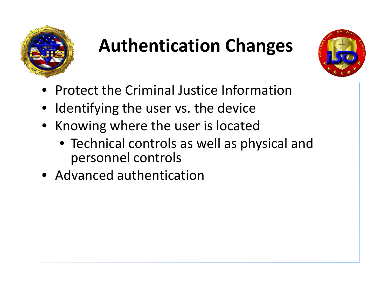

### **Authentication Changes**



- Protect the Criminal Justice Information
- Identifying the user vs. the device
- Knowing where the user is located
	- Technical controls as well as physical and personnel controls
- Advanced authentication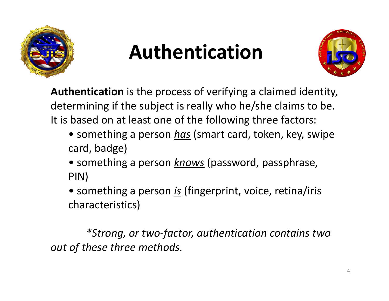

# **Authentication**



**Authentication** is the process of verifying a claimed identity, determining if the subject is really who he/she claims to be. It is based on at least one of the following three factors:

- something a person <u>has</u> (smart card, token, key, swipe card, badge)
- something a person *knows* (password, passphrase, PIN)
- something a person *is* (fingerprint, voice, retina/iris characteristics)

*\*Strong, or two ‐factor, authentication contains two ou t of these three meth do ds.*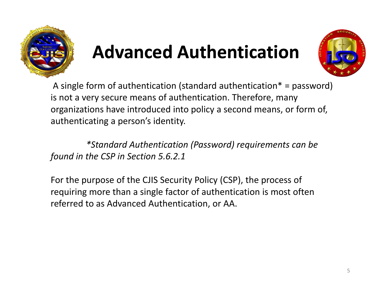



A single form of authentication (standard authentication\* <sup>=</sup> password) is not a very secure means of authentication. Therefore, many organizations have introduced into policy <sup>a</sup> second means, or form of, authenticating <sup>a</sup> person's identity.

*\*Standard Authentication (Password) requirements can be found in the CSP in Section 5.6.2.1*

For the purpose of the CJIS Security Policy (CSP), the process of requiring more than <sup>a</sup> single factor of authentication is most often referred to as Advanced Authentication, or AA.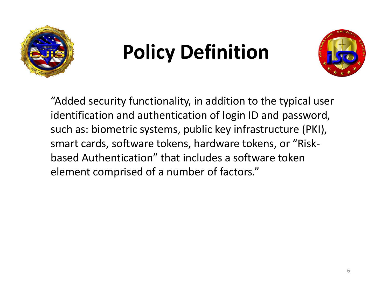

# **Policy Definition**



"Added security functionality, in addition to the typical user identification and authentication of login ID and password, such as: biometric systems, public key infrastructure (PKI), smart cards, software tokens, hardware tokens, or "Risk‐ based Authentication" that includes <sup>a</sup> software token element comprised of a number of factors."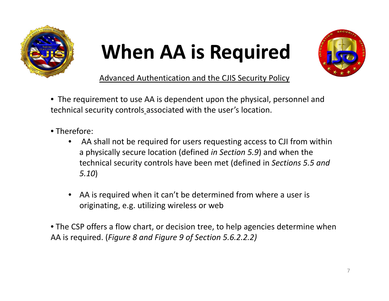

# **When AA is Required**



Advanced Authentication and the CJIS Security Policy

- The requirement to use AA is dependent upon the physical, personnel and technical security controls associated with the user's location.
- Therefore:
	- • AA shall not be required for users requesting access to CJI from within a physically secure location (defined *in Section 5.9*) and when the technical security controls have been met (defined in *Sections 5.5 and 5.10*)
	- • AA is required when it can't be determined from where <sup>a</sup> user is originating, e.g. utilizing wireless or web

• The CSP offers <sup>a</sup> flow chart, or decision tree, to help agencies determine when AA is required. (*Figure 8 and Figure 9 of Section 5.6.2.2.2)*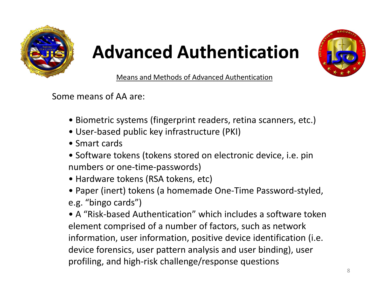



Means and Methods of Advanced Authentication

Some means of AA are:

- Biometric systems (fingerprint readers, retina scanners, etc.)
- User‐based public key infrastructure (PKI)
- Smart cards
- Software tokens (tokens stored on electronic device, i.e. pin numbers or one‐time‐passwords)
- Hardware tokens (RSA tokens, etc)
- Paper (inert) tokens (a homemade One‐Time Password‐styled, e.g. "bingo cards")

• A "Risk‐based Authentication" which includes <sup>a</sup> software token element comprised of <sup>a</sup> number of factors, such as network information, user information, positive device identification (i.e. device forensics, user pattern analysis and user binding), user profiling, and high‐risk challenge/response questions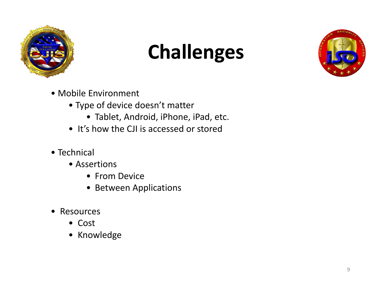

# **Challenges**



- Mobile Environment
	- Type of device doesn't matter
		- Tablet, Android, iPhone, iPad, etc.
	- It's how the CJI is accessed or stored
- Technical
	- Assertions
		- From Device
		- Between Applications
- Resources
	- Cost
	- Knowledge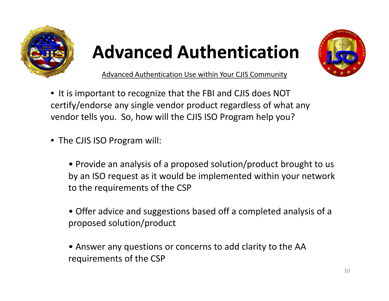



Advanced Authentication Use within Your CJIS Community

- It is important to recognize that the FBI and CJIS does NOT certify/endorse any single vendor product regardless of what any vendor tells you. So, how will the CJIS ISO Program help you?
- The CJIS ISO Program will:
	- Provide an analysis of <sup>a</sup> proposed solution/product brought to us by an ISO request as it would be implemented within your network to the requirements of the CSP
	- Offer advice and suggestions based off <sup>a</sup> completed analysis of <sup>a</sup> proposed solution/product
	- Answer any questions or concerns to add clarity to the AA requirements of the CSP